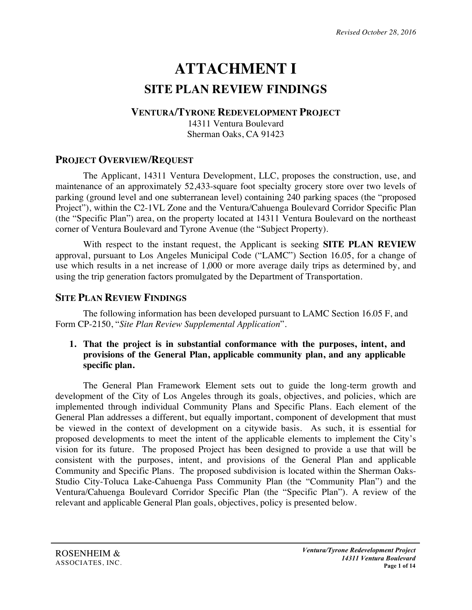# **ATTACHMENT I SITE PLAN REVIEW FINDINGS**

## **VENTURA/TYRONE REDEVELOPMENT PROJECT**

14311 Ventura Boulevard Sherman Oaks, CA 91423

# **PROJECT OVERVIEW/REQUEST**

The Applicant, 14311 Ventura Development, LLC, proposes the construction, use, and maintenance of an approximately 52,433-square foot specialty grocery store over two levels of parking (ground level and one subterranean level) containing 240 parking spaces (the "proposed Project"), within the C2-1VL Zone and the Ventura/Cahuenga Boulevard Corridor Specific Plan (the "Specific Plan") area, on the property located at 14311 Ventura Boulevard on the northeast corner of Ventura Boulevard and Tyrone Avenue (the "Subject Property).

With respect to the instant request, the Applicant is seeking **SITE PLAN REVIEW** approval, pursuant to Los Angeles Municipal Code ("LAMC") Section 16.05, for a change of use which results in a net increase of 1,000 or more average daily trips as determined by, and using the trip generation factors promulgated by the Department of Transportation.

# **SITE PLAN REVIEW FINDINGS**

The following information has been developed pursuant to LAMC Section 16.05 F, and Form CP-2150, "*Site Plan Review Supplemental Application*".

#### **1. That the project is in substantial conformance with the purposes, intent, and provisions of the General Plan, applicable community plan, and any applicable specific plan.**

The General Plan Framework Element sets out to guide the long-term growth and development of the City of Los Angeles through its goals, objectives, and policies, which are implemented through individual Community Plans and Specific Plans. Each element of the General Plan addresses a different, but equally important, component of development that must be viewed in the context of development on a citywide basis. As such, it is essential for proposed developments to meet the intent of the applicable elements to implement the City's vision for its future. The proposed Project has been designed to provide a use that will be consistent with the purposes, intent, and provisions of the General Plan and applicable Community and Specific Plans. The proposed subdivision is located within the Sherman Oaks-Studio City-Toluca Lake-Cahuenga Pass Community Plan (the "Community Plan") and the Ventura/Cahuenga Boulevard Corridor Specific Plan (the "Specific Plan"). A review of the relevant and applicable General Plan goals, objectives, policy is presented below.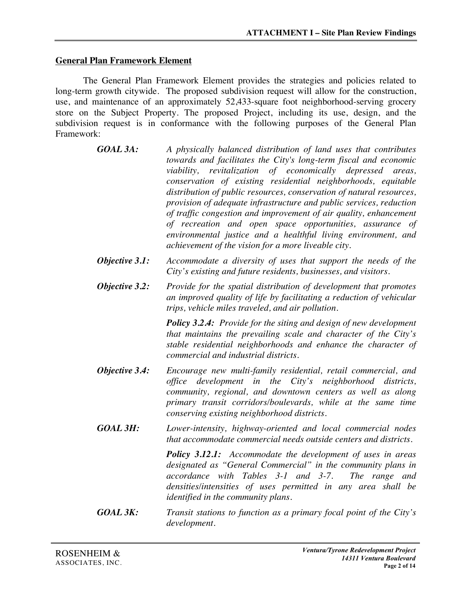#### **General Plan Framework Element**

The General Plan Framework Element provides the strategies and policies related to long-term growth citywide. The proposed subdivision request will allow for the construction, use, and maintenance of an approximately 52,433-square foot neighborhood-serving grocery store on the Subject Property. The proposed Project, including its use, design, and the subdivision request is in conformance with the following purposes of the General Plan Framework:

- *GOAL 3A: A physically balanced distribution of land uses that contributes towards and facilitates the City's long-term fiscal and economic viability, revitalization of economically depressed areas, conservation of existing residential neighborhoods, equitable distribution of public resources, conservation of natural resources, provision of adequate infrastructure and public services, reduction of traffic congestion and improvement of air quality, enhancement of recreation and open space opportunities, assurance of environmental justice and a healthful living environment, and achievement of the vision for a more liveable city.*
- *Objective 3.1: Accommodate a diversity of uses that support the needs of the City's existing and future residents, businesses, and visitors.*
- *Objective 3.2: Provide for the spatial distribution of development that promotes an improved quality of life by facilitating a reduction of vehicular trips, vehicle miles traveled, and air pollution.*

*Policy 3.2.4: Provide for the siting and design of new development that maintains the prevailing scale and character of the City's stable residential neighborhoods and enhance the character of commercial and industrial districts.*

- *Objective 3.4: Encourage new multi-family residential, retail commercial, and office development in the City's neighborhood districts, community, regional, and downtown centers as well as along primary transit corridors/boulevards, while at the same time conserving existing neighborhood districts.*
- *GOAL 3H: Lower-intensity, highway-oriented and local commercial nodes that accommodate commercial needs outside centers and districts.*

*Policy 3.12.1: Accommodate the development of uses in areas designated as "General Commercial" in the community plans in accordance with Tables 3-1 and 3-7. The range and densities/intensities of uses permitted in any area shall be identified in the community plans.*

*GOAL 3K: Transit stations to function as a primary focal point of the City's development.*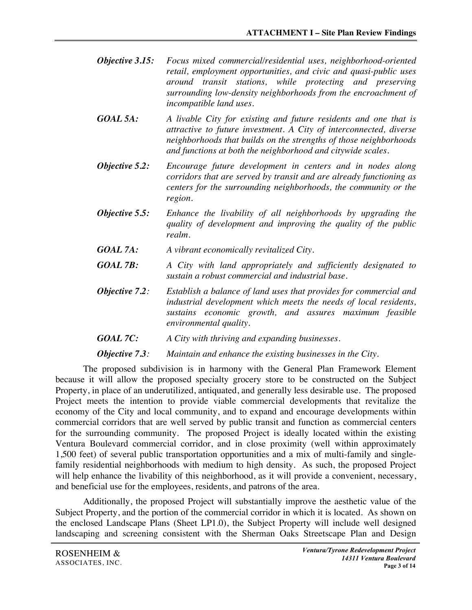- *Objective 3.15: Focus mixed commercial/residential uses, neighborhood-oriented retail, employment opportunities, and civic and quasi-public uses around transit stations, while protecting and preserving surrounding low-density neighborhoods from the encroachment of incompatible land uses.*
- *GOAL 5A: A livable City for existing and future residents and one that is attractive to future investment. A City of interconnected, diverse neighborhoods that builds on the strengths of those neighborhoods and functions at both the neighborhood and citywide scales.*
- *Objective 5.2: Encourage future development in centers and in nodes along corridors that are served by transit and are already functioning as centers for the surrounding neighborhoods, the community or the region.*
- *Objective 5.5: Enhance the livability of all neighborhoods by upgrading the quality of development and improving the quality of the public realm.*
- *GOAL 7A: A vibrant economically revitalized City.*
- *GOAL 7B: A City with land appropriately and sufficiently designated to sustain a robust commercial and industrial base.*
- *Objective 7.2: Establish a balance of land uses that provides for commercial and industrial development which meets the needs of local residents, sustains economic growth, and assures maximum feasible environmental quality.*
- *GOAL 7C: A City with thriving and expanding businesses.*

*Objective 7.3: Maintain and enhance the existing businesses in the City.*

The proposed subdivision is in harmony with the General Plan Framework Element because it will allow the proposed specialty grocery store to be constructed on the Subject Property, in place of an underutilized, antiquated, and generally less desirable use. The proposed Project meets the intention to provide viable commercial developments that revitalize the economy of the City and local community, and to expand and encourage developments within commercial corridors that are well served by public transit and function as commercial centers for the surrounding community. The proposed Project is ideally located within the existing Ventura Boulevard commercial corridor, and in close proximity (well within approximately 1,500 feet) of several public transportation opportunities and a mix of multi-family and singlefamily residential neighborhoods with medium to high density. As such, the proposed Project will help enhance the livability of this neighborhood, as it will provide a convenient, necessary, and beneficial use for the employees, residents, and patrons of the area.

Additionally, the proposed Project will substantially improve the aesthetic value of the Subject Property, and the portion of the commercial corridor in which it is located. As shown on the enclosed Landscape Plans (Sheet LP1.0), the Subject Property will include well designed landscaping and screening consistent with the Sherman Oaks Streetscape Plan and Design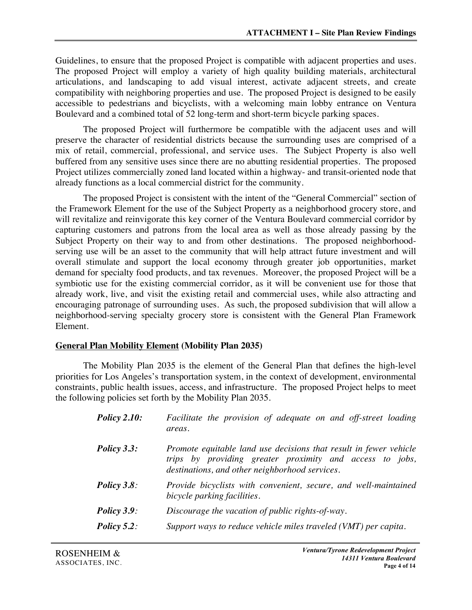Guidelines, to ensure that the proposed Project is compatible with adjacent properties and uses. The proposed Project will employ a variety of high quality building materials, architectural articulations, and landscaping to add visual interest, activate adjacent streets, and create compatibility with neighboring properties and use. The proposed Project is designed to be easily accessible to pedestrians and bicyclists, with a welcoming main lobby entrance on Ventura Boulevard and a combined total of 52 long-term and short-term bicycle parking spaces.

The proposed Project will furthermore be compatible with the adjacent uses and will preserve the character of residential districts because the surrounding uses are comprised of a mix of retail, commercial, professional, and service uses. The Subject Property is also well buffered from any sensitive uses since there are no abutting residential properties. The proposed Project utilizes commercially zoned land located within a highway- and transit-oriented node that already functions as a local commercial district for the community.

The proposed Project is consistent with the intent of the "General Commercial" section of the Framework Element for the use of the Subject Property as a neighborhood grocery store, and will revitalize and reinvigorate this key corner of the Ventura Boulevard commercial corridor by capturing customers and patrons from the local area as well as those already passing by the Subject Property on their way to and from other destinations. The proposed neighborhoodserving use will be an asset to the community that will help attract future investment and will overall stimulate and support the local economy through greater job opportunities, market demand for specialty food products, and tax revenues. Moreover, the proposed Project will be a symbiotic use for the existing commercial corridor, as it will be convenient use for those that already work, live, and visit the existing retail and commercial uses, while also attracting and encouraging patronage of surrounding uses. As such, the proposed subdivision that will allow a neighborhood-serving specialty grocery store is consistent with the General Plan Framework Element.

## **General Plan Mobility Element (Mobility Plan 2035)**

The Mobility Plan 2035 is the element of the General Plan that defines the high-level priorities for Los Angeles's transportation system, in the context of development, environmental constraints, public health issues, access, and infrastructure. The proposed Project helps to meet the following policies set forth by the Mobility Plan 2035.

| <b>Policy 2.10:</b> | Facilitate the provision of adequate on and off-street loading<br>areas.                                                                                                        |
|---------------------|---------------------------------------------------------------------------------------------------------------------------------------------------------------------------------|
| Policy 3.3:         | Promote equitable land use decisions that result in fewer vehicle<br>trips by providing greater proximity and access to jobs,<br>destinations, and other neighborhood services. |
| <b>Policy 3.8:</b>  | Provide bicyclists with convenient, secure, and well-maintained<br>bicycle parking facilities.                                                                                  |
| Policy $3.9$ :      | Discourage the vacation of public rights-of-way.                                                                                                                                |
| Policy $5.2$ :      | Support ways to reduce vehicle miles traveled (VMT) per capita.                                                                                                                 |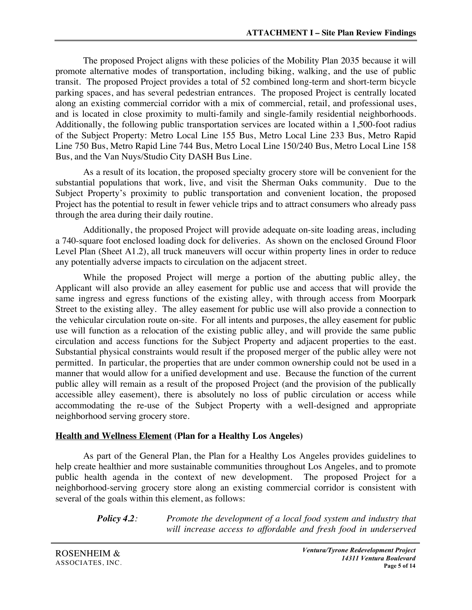The proposed Project aligns with these policies of the Mobility Plan 2035 because it will promote alternative modes of transportation, including biking, walking, and the use of public transit. The proposed Project provides a total of 52 combined long-term and short-term bicycle parking spaces, and has several pedestrian entrances. The proposed Project is centrally located along an existing commercial corridor with a mix of commercial, retail, and professional uses, and is located in close proximity to multi-family and single-family residential neighborhoods. Additionally, the following public transportation services are located within a 1,500-foot radius of the Subject Property: Metro Local Line 155 Bus, Metro Local Line 233 Bus, Metro Rapid Line 750 Bus, Metro Rapid Line 744 Bus, Metro Local Line 150/240 Bus, Metro Local Line 158 Bus, and the Van Nuys/Studio City DASH Bus Line.

As a result of its location, the proposed specialty grocery store will be convenient for the substantial populations that work, live, and visit the Sherman Oaks community. Due to the Subject Property's proximity to public transportation and convenient location, the proposed Project has the potential to result in fewer vehicle trips and to attract consumers who already pass through the area during their daily routine.

Additionally, the proposed Project will provide adequate on-site loading areas, including a 740-square foot enclosed loading dock for deliveries. As shown on the enclosed Ground Floor Level Plan (Sheet A1.2), all truck maneuvers will occur within property lines in order to reduce any potentially adverse impacts to circulation on the adjacent street.

While the proposed Project will merge a portion of the abutting public alley, the Applicant will also provide an alley easement for public use and access that will provide the same ingress and egress functions of the existing alley, with through access from Moorpark Street to the existing alley. The alley easement for public use will also provide a connection to the vehicular circulation route on-site. For all intents and purposes, the alley easement for public use will function as a relocation of the existing public alley, and will provide the same public circulation and access functions for the Subject Property and adjacent properties to the east. Substantial physical constraints would result if the proposed merger of the public alley were not permitted. In particular, the properties that are under common ownership could not be used in a manner that would allow for a unified development and use. Because the function of the current public alley will remain as a result of the proposed Project (and the provision of the publically accessible alley easement), there is absolutely no loss of public circulation or access while accommodating the re-use of the Subject Property with a well-designed and appropriate neighborhood serving grocery store.

## **Health and Wellness Element (Plan for a Healthy Los Angeles)**

As part of the General Plan, the Plan for a Healthy Los Angeles provides guidelines to help create healthier and more sustainable communities throughout Los Angeles, and to promote public health agenda in the context of new development. The proposed Project for a neighborhood-serving grocery store along an existing commercial corridor is consistent with several of the goals within this element, as follows:

> *Policy 4.2: Promote the development of a local food system and industry that will increase access to affordable and fresh food in underserved*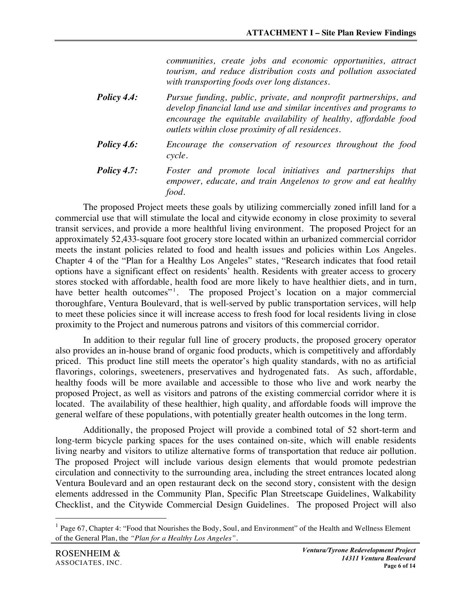*communities, create jobs and economic opportunities, attract tourism, and reduce distribution costs and pollution associated with transporting foods over long distances.*

- *Policy 4.4: Pursue funding, public, private, and nonprofit partnerships, and develop financial land use and similar incentives and programs to encourage the equitable availability of healthy, affordable food outlets within close proximity of all residences.*
- *Policy 4.6: Encourage the conservation of resources throughout the food cycle.*
- *Policy 4.7: Foster and promote local initiatives and partnerships that empower, educate, and train Angelenos to grow and eat healthy food.*

The proposed Project meets these goals by utilizing commercially zoned infill land for a commercial use that will stimulate the local and citywide economy in close proximity to several transit services, and provide a more healthful living environment. The proposed Project for an approximately 52,433-square foot grocery store located within an urbanized commercial corridor meets the instant policies related to food and health issues and policies within Los Angeles. Chapter 4 of the "Plan for a Healthy Los Angeles" states, "Research indicates that food retail options have a significant effect on residents' health. Residents with greater access to grocery stores stocked with affordable, health food are more likely to have healthier diets, and in turn, have better health outcomes"<sup>1</sup>. The proposed Project's location on a major commercial thoroughfare, Ventura Boulevard, that is well-served by public transportation services, will help to meet these policies since it will increase access to fresh food for local residents living in close proximity to the Project and numerous patrons and visitors of this commercial corridor.

In addition to their regular full line of grocery products, the proposed grocery operator also provides an in-house brand of organic food products, which is competitively and affordably priced. This product line still meets the operator's high quality standards, with no as artificial flavorings, colorings, sweeteners, preservatives and hydrogenated fats. As such, affordable, healthy foods will be more available and accessible to those who live and work nearby the proposed Project, as well as visitors and patrons of the existing commercial corridor where it is located. The availability of these healthier, high quality, and affordable foods will improve the general welfare of these populations, with potentially greater health outcomes in the long term.

Additionally, the proposed Project will provide a combined total of 52 short-term and long-term bicycle parking spaces for the uses contained on-site, which will enable residents living nearby and visitors to utilize alternative forms of transportation that reduce air pollution. The proposed Project will include various design elements that would promote pedestrian circulation and connectivity to the surrounding area, including the street entrances located along Ventura Boulevard and an open restaurant deck on the second story, consistent with the design elements addressed in the Community Plan, Specific Plan Streetscape Guidelines, Walkability Checklist, and the Citywide Commercial Design Guidelines. The proposed Project will also

 $<sup>1</sup>$  Page 67, Chapter 4: "Food that Nourishes the Body, Soul, and Environment" of the Health and Wellness Element</sup> of the General Plan, the *"Plan for a Healthy Los Angeles".*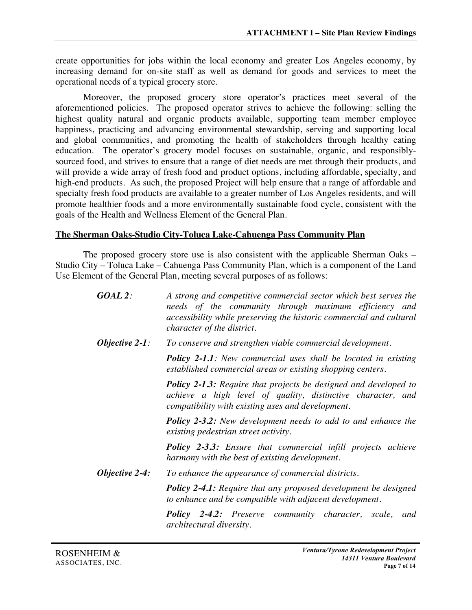create opportunities for jobs within the local economy and greater Los Angeles economy, by increasing demand for on-site staff as well as demand for goods and services to meet the operational needs of a typical grocery store.

Moreover, the proposed grocery store operator's practices meet several of the aforementioned policies. The proposed operator strives to achieve the following: selling the highest quality natural and organic products available, supporting team member employee happiness, practicing and advancing environmental stewardship, serving and supporting local and global communities, and promoting the health of stakeholders through healthy eating education. The operator's grocery model focuses on sustainable, organic, and responsiblysourced food, and strives to ensure that a range of diet needs are met through their products, and will provide a wide array of fresh food and product options, including affordable, specialty, and high-end products. As such, the proposed Project will help ensure that a range of affordable and specialty fresh food products are available to a greater number of Los Angeles residents, and will promote healthier foods and a more environmentally sustainable food cycle, consistent with the goals of the Health and Wellness Element of the General Plan.

#### **The Sherman Oaks-Studio City-Toluca Lake-Cahuenga Pass Community Plan**

The proposed grocery store use is also consistent with the applicable Sherman Oaks – Studio City – Toluca Lake – Cahuenga Pass Community Plan, which is a component of the Land Use Element of the General Plan, meeting several purposes of as follows:

| $GOAL$ 2:         | A strong and competitive commercial sector which best serves the<br>needs of the community through maximum efficiency and<br>accessibility while preserving the historic commercial and cultural<br>character of the district. |
|-------------------|--------------------------------------------------------------------------------------------------------------------------------------------------------------------------------------------------------------------------------|
| Objective $2-1$ : | To conserve and strengthen viable commercial development.                                                                                                                                                                      |
|                   | <b>Policy 2-1.1:</b> New commercial uses shall be located in existing<br>established commercial areas or existing shopping centers.                                                                                            |
|                   | <b>Policy 2-1.3:</b> Require that projects be designed and developed to<br>achieve a high level of quality, distinctive character, and<br>compatibility with existing uses and development.                                    |
|                   | <b>Policy 2-3.2:</b> New development needs to add to and enhance the<br>existing pedestrian street activity.                                                                                                                   |
|                   | <b>Policy 2-3.3:</b> Ensure that commercial infill projects achieve<br>harmony with the best of existing development.                                                                                                          |
| Objective 2-4:    | To enhance the appearance of commercial districts.                                                                                                                                                                             |
|                   | <b>Policy 2-4.1:</b> Require that any proposed development be designed<br>to enhance and be compatible with adjacent development.                                                                                              |
|                   | <b>Policy 2-4.2:</b> Preserve community character, scale,<br>and<br>architectural diversity.                                                                                                                                   |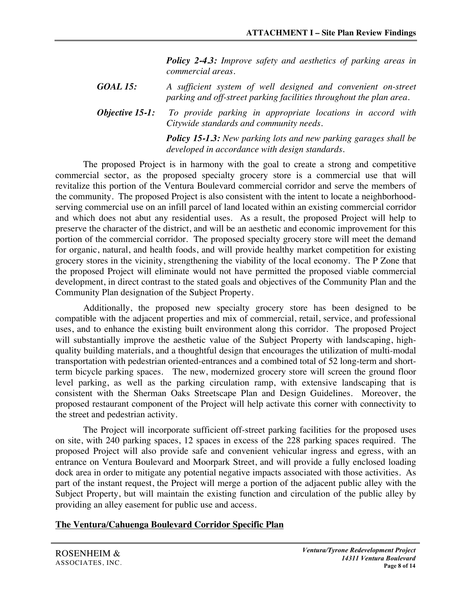*Policy 2-4.3: Improve safety and aesthetics of parking areas in commercial areas.*

*GOAL 15: A sufficient system of well designed and convenient on-street parking and off-street parking facilities throughout the plan area.*

*Objective 15-1: To provide parking in appropriate locations in accord with Citywide standards and community needs.*

> *Policy 15-1.3: New parking lots and new parking garages shall be developed in accordance with design standards.*

The proposed Project is in harmony with the goal to create a strong and competitive commercial sector, as the proposed specialty grocery store is a commercial use that will revitalize this portion of the Ventura Boulevard commercial corridor and serve the members of the community. The proposed Project is also consistent with the intent to locate a neighborhoodserving commercial use on an infill parcel of land located within an existing commercial corridor and which does not abut any residential uses. As a result, the proposed Project will help to preserve the character of the district, and will be an aesthetic and economic improvement for this portion of the commercial corridor. The proposed specialty grocery store will meet the demand for organic, natural, and health foods, and will provide healthy market competition for existing grocery stores in the vicinity, strengthening the viability of the local economy. The P Zone that the proposed Project will eliminate would not have permitted the proposed viable commercial development, in direct contrast to the stated goals and objectives of the Community Plan and the Community Plan designation of the Subject Property.

Additionally, the proposed new specialty grocery store has been designed to be compatible with the adjacent properties and mix of commercial, retail, service, and professional uses, and to enhance the existing built environment along this corridor. The proposed Project will substantially improve the aesthetic value of the Subject Property with landscaping, highquality building materials, and a thoughtful design that encourages the utilization of multi-modal transportation with pedestrian oriented-entrances and a combined total of 52 long-term and shortterm bicycle parking spaces. The new, modernized grocery store will screen the ground floor level parking, as well as the parking circulation ramp, with extensive landscaping that is consistent with the Sherman Oaks Streetscape Plan and Design Guidelines. Moreover, the proposed restaurant component of the Project will help activate this corner with connectivity to the street and pedestrian activity.

The Project will incorporate sufficient off-street parking facilities for the proposed uses on site, with 240 parking spaces, 12 spaces in excess of the 228 parking spaces required. The proposed Project will also provide safe and convenient vehicular ingress and egress, with an entrance on Ventura Boulevard and Moorpark Street, and will provide a fully enclosed loading dock area in order to mitigate any potential negative impacts associated with those activities. As part of the instant request, the Project will merge a portion of the adjacent public alley with the Subject Property, but will maintain the existing function and circulation of the public alley by providing an alley easement for public use and access.

## **The Ventura/Cahuenga Boulevard Corridor Specific Plan**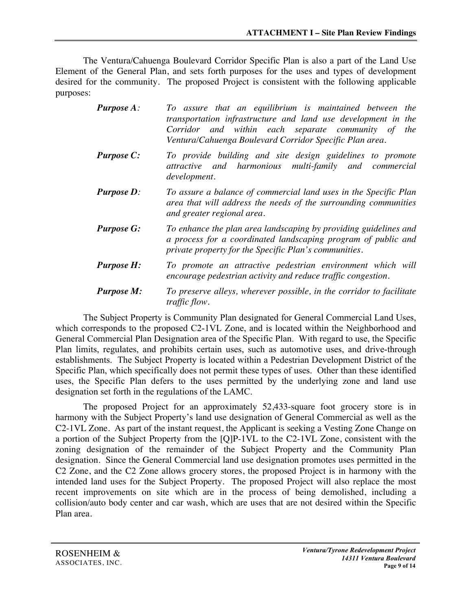The Ventura/Cahuenga Boulevard Corridor Specific Plan is also a part of the Land Use Element of the General Plan, and sets forth purposes for the uses and types of development desired for the community. The proposed Project is consistent with the following applicable purposes:

| <b>Purpose A:</b> | To assure that an equilibrium is maintained between the<br>transportation infrastructure and land use development in the<br>Corridor and within each separate community of the<br>Ventura/Cahuenga Boulevard Corridor Specific Plan area. |
|-------------------|-------------------------------------------------------------------------------------------------------------------------------------------------------------------------------------------------------------------------------------------|
| <b>Purpose C:</b> | To provide building and site design guidelines to promote<br>and harmonious multi-family and commercial<br>attractive<br>development.                                                                                                     |
| <b>Purpose D:</b> | To assure a balance of commercial land uses in the Specific Plan<br>area that will address the needs of the surrounding communities<br>and greater regional area.                                                                         |
| <b>Purpose G:</b> | To enhance the plan area landscaping by providing guidelines and<br>a process for a coordinated landscaping program of public and<br>private property for the Specific Plan's communities.                                                |
| <b>Purpose H:</b> | To promote an attractive pedestrian environment which will<br>encourage pedestrian activity and reduce traffic congestion.                                                                                                                |
| <b>Purpose M:</b> | To preserve alleys, wherever possible, in the corridor to facilitate<br><i>traffic flow.</i>                                                                                                                                              |

The Subject Property is Community Plan designated for General Commercial Land Uses, which corresponds to the proposed C2-1VL Zone, and is located within the Neighborhood and General Commercial Plan Designation area of the Specific Plan. With regard to use, the Specific Plan limits, regulates, and prohibits certain uses, such as automotive uses, and drive-through establishments. The Subject Property is located within a Pedestrian Development District of the Specific Plan, which specifically does not permit these types of uses. Other than these identified uses, the Specific Plan defers to the uses permitted by the underlying zone and land use designation set forth in the regulations of the LAMC.

The proposed Project for an approximately 52,433-square foot grocery store is in harmony with the Subject Property's land use designation of General Commercial as well as the C2-1VL Zone. As part of the instant request, the Applicant is seeking a Vesting Zone Change on a portion of the Subject Property from the [Q]P-1VL to the C2-1VL Zone, consistent with the zoning designation of the remainder of the Subject Property and the Community Plan designation. Since the General Commercial land use designation promotes uses permitted in the C2 Zone, and the C2 Zone allows grocery stores, the proposed Project is in harmony with the intended land uses for the Subject Property. The proposed Project will also replace the most recent improvements on site which are in the process of being demolished, including a collision/auto body center and car wash, which are uses that are not desired within the Specific Plan area.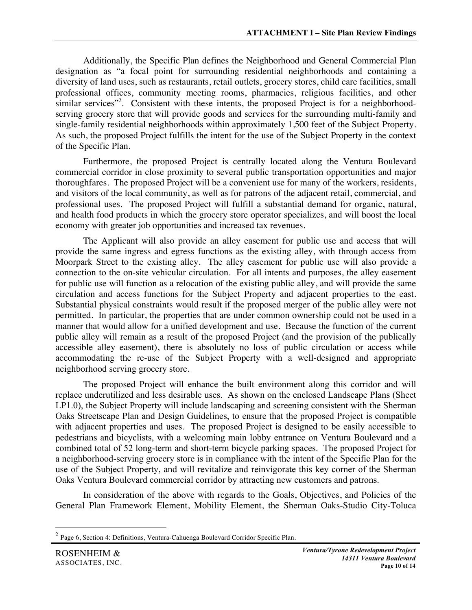Additionally, the Specific Plan defines the Neighborhood and General Commercial Plan designation as "a focal point for surrounding residential neighborhoods and containing a diversity of land uses, such as restaurants, retail outlets, grocery stores, child care facilities, small professional offices, community meeting rooms, pharmacies, religious facilities, and other similar services"<sup>2</sup>. Consistent with these intents, the proposed Project is for a neighborhoodserving grocery store that will provide goods and services for the surrounding multi-family and single-family residential neighborhoods within approximately 1,500 feet of the Subject Property. As such, the proposed Project fulfills the intent for the use of the Subject Property in the context of the Specific Plan.

Furthermore, the proposed Project is centrally located along the Ventura Boulevard commercial corridor in close proximity to several public transportation opportunities and major thoroughfares. The proposed Project will be a convenient use for many of the workers, residents, and visitors of the local community, as well as for patrons of the adjacent retail, commercial, and professional uses. The proposed Project will fulfill a substantial demand for organic, natural, and health food products in which the grocery store operator specializes, and will boost the local economy with greater job opportunities and increased tax revenues.

The Applicant will also provide an alley easement for public use and access that will provide the same ingress and egress functions as the existing alley, with through access from Moorpark Street to the existing alley. The alley easement for public use will also provide a connection to the on-site vehicular circulation. For all intents and purposes, the alley easement for public use will function as a relocation of the existing public alley, and will provide the same circulation and access functions for the Subject Property and adjacent properties to the east. Substantial physical constraints would result if the proposed merger of the public alley were not permitted. In particular, the properties that are under common ownership could not be used in a manner that would allow for a unified development and use. Because the function of the current public alley will remain as a result of the proposed Project (and the provision of the publically accessible alley easement), there is absolutely no loss of public circulation or access while accommodating the re-use of the Subject Property with a well-designed and appropriate neighborhood serving grocery store.

The proposed Project will enhance the built environment along this corridor and will replace underutilized and less desirable uses. As shown on the enclosed Landscape Plans (Sheet LP1.0), the Subject Property will include landscaping and screening consistent with the Sherman Oaks Streetscape Plan and Design Guidelines, to ensure that the proposed Project is compatible with adjacent properties and uses. The proposed Project is designed to be easily accessible to pedestrians and bicyclists, with a welcoming main lobby entrance on Ventura Boulevard and a combined total of 52 long-term and short-term bicycle parking spaces. The proposed Project for a neighborhood-serving grocery store is in compliance with the intent of the Specific Plan for the use of the Subject Property, and will revitalize and reinvigorate this key corner of the Sherman Oaks Ventura Boulevard commercial corridor by attracting new customers and patrons.

In consideration of the above with regards to the Goals, Objectives, and Policies of the General Plan Framework Element, Mobility Element, the Sherman Oaks-Studio City-Toluca

 <sup>2</sup> Page 6, Section 4: Definitions, Ventura-Cahuenga Boulevard Corridor Specific Plan.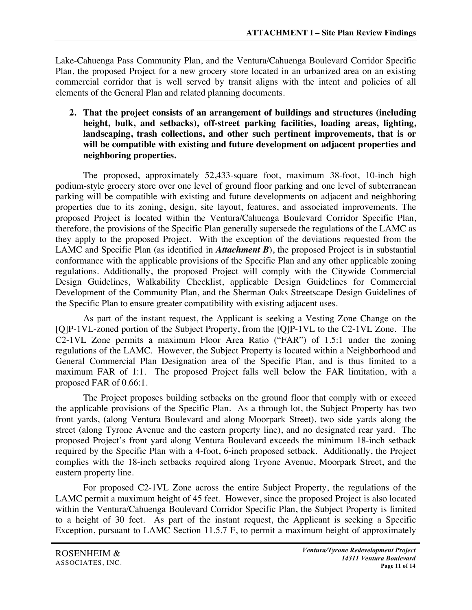Lake-Cahuenga Pass Community Plan, and the Ventura/Cahuenga Boulevard Corridor Specific Plan, the proposed Project for a new grocery store located in an urbanized area on an existing commercial corridor that is well served by transit aligns with the intent and policies of all elements of the General Plan and related planning documents.

**2. That the project consists of an arrangement of buildings and structures (including height, bulk, and setbacks), off-street parking facilities, loading areas, lighting, landscaping, trash collections, and other such pertinent improvements, that is or will be compatible with existing and future development on adjacent properties and neighboring properties.**

The proposed, approximately 52,433-square foot, maximum 38-foot, 10-inch high podium-style grocery store over one level of ground floor parking and one level of subterranean parking will be compatible with existing and future developments on adjacent and neighboring properties due to its zoning, design, site layout, features, and associated improvements. The proposed Project is located within the Ventura/Cahuenga Boulevard Corridor Specific Plan, therefore, the provisions of the Specific Plan generally supersede the regulations of the LAMC as they apply to the proposed Project. With the exception of the deviations requested from the LAMC and Specific Plan (as identified in *Attachment B*), the proposed Project is in substantial conformance with the applicable provisions of the Specific Plan and any other applicable zoning regulations. Additionally, the proposed Project will comply with the Citywide Commercial Design Guidelines, Walkability Checklist, applicable Design Guidelines for Commercial Development of the Community Plan, and the Sherman Oaks Streetscape Design Guidelines of the Specific Plan to ensure greater compatibility with existing adjacent uses.

As part of the instant request, the Applicant is seeking a Vesting Zone Change on the [Q]P-1VL-zoned portion of the Subject Property, from the [Q]P-1VL to the C2-1VL Zone. The C2-1VL Zone permits a maximum Floor Area Ratio ("FAR") of 1.5:1 under the zoning regulations of the LAMC. However, the Subject Property is located within a Neighborhood and General Commercial Plan Designation area of the Specific Plan, and is thus limited to a maximum FAR of 1:1. The proposed Project falls well below the FAR limitation, with a proposed FAR of 0.66:1.

The Project proposes building setbacks on the ground floor that comply with or exceed the applicable provisions of the Specific Plan. As a through lot, the Subject Property has two front yards, (along Ventura Boulevard and along Moorpark Street), two side yards along the street (along Tyrone Avenue and the eastern property line), and no designated rear yard. The proposed Project's front yard along Ventura Boulevard exceeds the minimum 18-inch setback required by the Specific Plan with a 4-foot, 6-inch proposed setback. Additionally, the Project complies with the 18-inch setbacks required along Tryone Avenue, Moorpark Street, and the eastern property line.

For proposed C2-1VL Zone across the entire Subject Property, the regulations of the LAMC permit a maximum height of 45 feet. However, since the proposed Project is also located within the Ventura/Cahuenga Boulevard Corridor Specific Plan, the Subject Property is limited to a height of 30 feet. As part of the instant request, the Applicant is seeking a Specific Exception, pursuant to LAMC Section 11.5.7 F, to permit a maximum height of approximately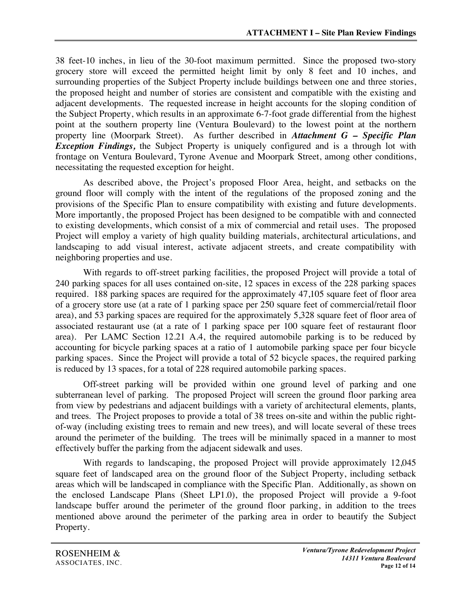38 feet-10 inches, in lieu of the 30-foot maximum permitted. Since the proposed two-story grocery store will exceed the permitted height limit by only 8 feet and 10 inches, and surrounding properties of the Subject Property include buildings between one and three stories, the proposed height and number of stories are consistent and compatible with the existing and adjacent developments. The requested increase in height accounts for the sloping condition of the Subject Property, which results in an approximate 6-7-foot grade differential from the highest point at the southern property line (Ventura Boulevard) to the lowest point at the northern property line (Moorpark Street). As further described in *Attachment G – Specific Plan Exception Findings,* the Subject Property is uniquely configured and is a through lot with frontage on Ventura Boulevard, Tyrone Avenue and Moorpark Street, among other conditions, necessitating the requested exception for height.

As described above, the Project's proposed Floor Area, height, and setbacks on the ground floor will comply with the intent of the regulations of the proposed zoning and the provisions of the Specific Plan to ensure compatibility with existing and future developments. More importantly, the proposed Project has been designed to be compatible with and connected to existing developments, which consist of a mix of commercial and retail uses. The proposed Project will employ a variety of high quality building materials, architectural articulations, and landscaping to add visual interest, activate adjacent streets, and create compatibility with neighboring properties and use.

With regards to off-street parking facilities, the proposed Project will provide a total of 240 parking spaces for all uses contained on-site, 12 spaces in excess of the 228 parking spaces required. 188 parking spaces are required for the approximately 47,105 square feet of floor area of a grocery store use (at a rate of 1 parking space per 250 square feet of commercial/retail floor area), and 53 parking spaces are required for the approximately 5,328 square feet of floor area of associated restaurant use (at a rate of 1 parking space per 100 square feet of restaurant floor area). Per LAMC Section 12.21 A.4, the required automobile parking is to be reduced by accounting for bicycle parking spaces at a ratio of 1 automobile parking space per four bicycle parking spaces. Since the Project will provide a total of 52 bicycle spaces, the required parking is reduced by 13 spaces, for a total of 228 required automobile parking spaces.

Off-street parking will be provided within one ground level of parking and one subterranean level of parking. The proposed Project will screen the ground floor parking area from view by pedestrians and adjacent buildings with a variety of architectural elements, plants, and trees. The Project proposes to provide a total of 38 trees on-site and within the public rightof-way (including existing trees to remain and new trees), and will locate several of these trees around the perimeter of the building. The trees will be minimally spaced in a manner to most effectively buffer the parking from the adjacent sidewalk and uses.

With regards to landscaping, the proposed Project will provide approximately 12,045 square feet of landscaped area on the ground floor of the Subject Property, including setback areas which will be landscaped in compliance with the Specific Plan. Additionally, as shown on the enclosed Landscape Plans (Sheet LP1.0), the proposed Project will provide a 9-foot landscape buffer around the perimeter of the ground floor parking, in addition to the trees mentioned above around the perimeter of the parking area in order to beautify the Subject Property.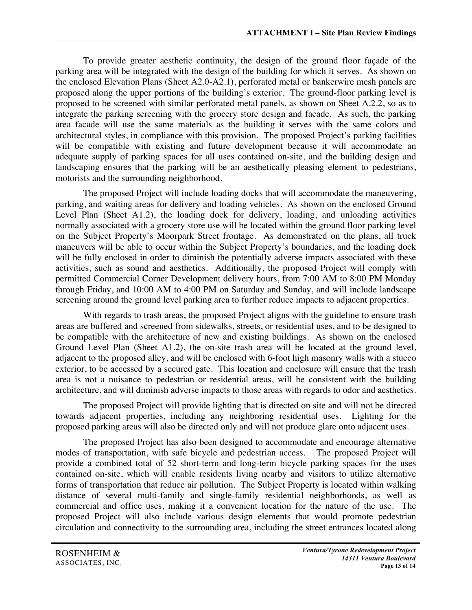To provide greater aesthetic continuity, the design of the ground floor façade of the parking area will be integrated with the design of the building for which it serves. As shown on the enclosed Elevation Plans (Sheet A2.0-A2.1), perforated metal or bankerwire mesh panels are proposed along the upper portions of the building's exterior. The ground-floor parking level is proposed to be screened with similar perforated metal panels, as shown on Sheet A.2.2, so as to integrate the parking screening with the grocery store design and facade. As such, the parking area facade will use the same materials as the building it serves with the same colors and architectural styles, in compliance with this provision. The proposed Project's parking facilities will be compatible with existing and future development because it will accommodate an adequate supply of parking spaces for all uses contained on-site, and the building design and landscaping ensures that the parking will be an aesthetically pleasing element to pedestrians, motorists and the surrounding neighborhood.

The proposed Project will include loading docks that will accommodate the maneuvering, parking, and waiting areas for delivery and loading vehicles. As shown on the enclosed Ground Level Plan (Sheet A1.2), the loading dock for delivery, loading, and unloading activities normally associated with a grocery store use will be located within the ground floor parking level on the Subject Property's Moorpark Street frontage. As demonstrated on the plans, all truck maneuvers will be able to occur within the Subject Property's boundaries, and the loading dock will be fully enclosed in order to diminish the potentially adverse impacts associated with these activities, such as sound and aesthetics. Additionally, the proposed Project will comply with permitted Commercial Corner Development delivery hours, from 7:00 AM to 8:00 PM Monday through Friday, and 10:00 AM to 4:00 PM on Saturday and Sunday, and will include landscape screening around the ground level parking area to further reduce impacts to adjacent properties.

With regards to trash areas, the proposed Project aligns with the guideline to ensure trash areas are buffered and screened from sidewalks, streets, or residential uses, and to be designed to be compatible with the architecture of new and existing buildings. As shown on the enclosed Ground Level Plan (Sheet A1.2), the on-site trash area will be located at the ground level, adjacent to the proposed alley, and will be enclosed with 6-foot high masonry walls with a stucco exterior, to be accessed by a secured gate. This location and enclosure will ensure that the trash area is not a nuisance to pedestrian or residential areas, will be consistent with the building architecture, and will diminish adverse impacts to those areas with regards to odor and aesthetics.

The proposed Project will provide lighting that is directed on site and will not be directed towards adjacent properties, including any neighboring residential uses. Lighting for the proposed parking areas will also be directed only and will not produce glare onto adjacent uses.

The proposed Project has also been designed to accommodate and encourage alternative modes of transportation, with safe bicycle and pedestrian access. The proposed Project will provide a combined total of 52 short-term and long-term bicycle parking spaces for the uses contained on-site, which will enable residents living nearby and visitors to utilize alternative forms of transportation that reduce air pollution. The Subject Property is located within walking distance of several multi-family and single-family residential neighborhoods, as well as commercial and office uses, making it a convenient location for the nature of the use. The proposed Project will also include various design elements that would promote pedestrian circulation and connectivity to the surrounding area, including the street entrances located along